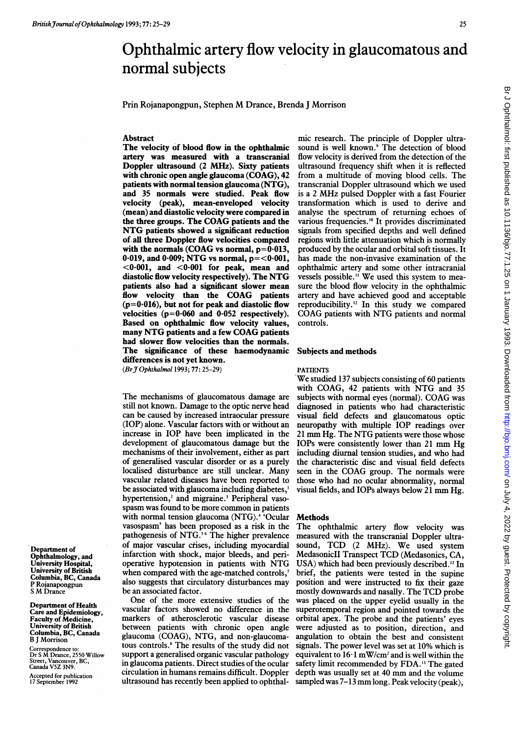# Ophthalmic artery flow velocity in glaucomatous and normal subjects

Prin Rojanapongpun, Stephen M Drance, Brenda <sup>J</sup> Morrison

## Abstract

The velocity of blood flow in the ophthalmic artery was measured with a transcranial Doppler ultrasound (2 MHz). Sixty patients with chronic open angle glaucoma (COAG), 42 patients with normal tension glaucoma (NTG), and 35 normals were studied. Peak flow velocity (peak), mean-enveloped velocity (mean) and diastolic velocity were compared in the three groups. The COAG patients and the NTG patients showed <sup>a</sup> significant reduction of all three Doppler flow velocities compared with the normals (COAG vs normal,  $p=0.013$ , 0.019, and 0.009; NTG vs normal,  $p = <0.001$ ,  $<0.001$ , and  $<0.001$  for peak, mean and diastolic flow velocity respectively). The NTG patients also had a significant slower mean flow velocity than the COAG patients  $(p=0.016)$ , but not for peak and diastolic flow velocities  $(p=0.060$  and  $0.052$  respectively). Based on ophthalmic flow velocity values, many NTG patients and <sup>a</sup> few COAG patients had slower flow velocities than the normals. The significance of these haemodynamic differences is not yet known.

(Br J Ophthalmol 1993; 77: 25-29)

The mechanisms of glaucomatous damage are still not known. Damage to the optic nerve head can be caused by increased intraocular pressure (IOP) alone. Vascular factors with or without an increase in IOP have been implicated in the development of glaucomatous damage but the mechanisms of their involvement, either as part of generalised vascular disorder or as a purely localised disturbance are still unclear. Many vascular related diseases have been reported to be associated with glaucoma including diabetes,' hypertension,<sup>2</sup> and migraine.<sup>3</sup> Peripheral vasospasm was found to be more common in patients with normal tension glaucoma (NTG).<sup>4</sup> 'Ocular vasospasm' has been proposed as a risk in the pathogenesis of NTG.<sup>56</sup> The higher prevalence of major vascular crises, including myocardial infarction with shock, major bleeds, and perioperative hypotension in patients with NTG when compared with the age-matched controls,<sup>7</sup> also suggests that circulatory disturbances may be an associated factor.

One of the more extensive studies of the vascular factors showed no difference in the markers of atherosclerotic vascular disease between patients with chronic open angle glaucoma (COAG), NTG, and non-glaucomatous controls.8 The results of the study did not support a generalised organic vascular pathology in glaucoma patients. Direct studies of the ocular circulation in humans remains difficult. Doppler ultrasound has recently been applied to ophthal-

mic research. The principle of Doppler ultrasound is well known.<sup>9</sup> The detection of blood flow velocity is derived from the detection of the ultrasound frequency shift when it is reflected from a multitude of moving blood cells. The transcranial Doppler ultrasound which we used is <sup>a</sup> <sup>2</sup> MHz pulsed Doppler with <sup>a</sup> fast Fourier transformation which is used to derive and analyse the spectrum of returning echoes of various frequencies.'0 It provides discriminated signals from specified depths and well defined regions with little attenuation which is normally produced by the ocular and orbital soft tissues. It has made the non-invasive examination of the ophthalmic artery and some other intracranial vessels possible."I We used this system to measure the blood flow velocity in the ophthalmic artery and have achieved good and acceptable reproducibility.'2 In this study we compared COAG patients with NTG patients and normal controls.

## Subjects and methods

#### PATIENTS

We studied <sup>137</sup> subjects consisting of <sup>60</sup> patients with COAG, <sup>42</sup> patients with NTG and <sup>35</sup> subjects with normal eyes (normal). COAG was diagnosed in patients who had characteristic visual field defects and glaucomatous optic neuropathy with multiple IOP readings over <sup>21</sup> mm Hg. The NTG patients were those whose IOPs were consistently lower than <sup>21</sup> mm Hg including diurnal tension studies, and who had the characteristic disc and visual field defects seen in the COAG group. The normals were those who had no ocular abnormality, normal visual fields, and IOPs always below <sup>21</sup> mm Hg.

#### **Methods**

The ophthalmic artery flow velocity was measured with the transcranial Doppler ultrasound, TCD (2 MHz). We used system MedasonicII Transpect TCD (Medasonics, CA, USA) which had been previously described.'2 In brief, the patients were tested in the supine position and were instructed to fix their gaze mostly downwards and nasally. The TCD probe was placed on the upper eyelid usually in the superotemporal region and pointed towards the orbital apex. The probe and the patients' eyes were adjusted as to position, direction, and angulation to obtain the best and consistent signals. The power level was set at 10% which is equivalent to  $16·1$  mW/cm<sup>2</sup> and is well within the safety limit recommended by FDA.<sup>13</sup> The gated depth was usually set at <sup>40</sup> mm and the volume sampled was 7-13 mmlong. Peak velocity (peak),

Department of Ophthalmology, and University Hospital, University of British Columbia, BC, Canada P Rojanapongpun <sup>S</sup> M Drance

Department of Health Care and Epidemiology, Faculty of Medicine, University of British Columbia, BC, Canada B <sup>J</sup> Morrison

Correspondence to: Dr <sup>S</sup> M Drance, <sup>2550</sup> Willow Street, Vancouver, BC, Canada V5Z 3N9.

Accepted for publication 17 September 1992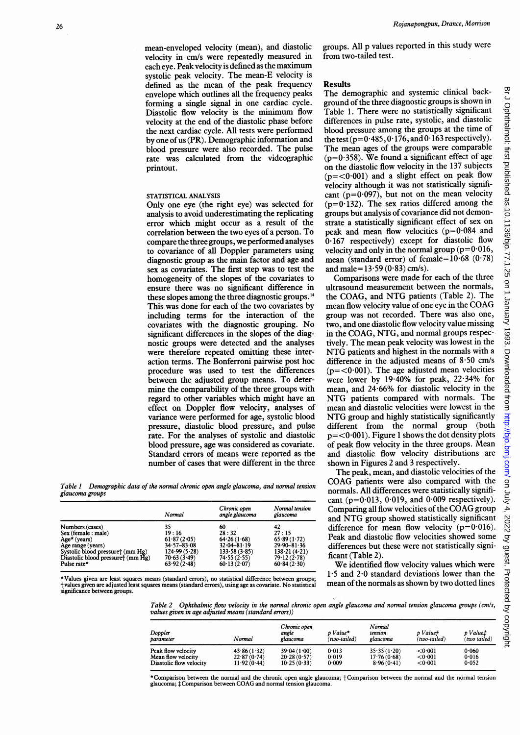mean-enveloped velocity (mean), and diastolic velocity in cm/s were repeatedly measured in each eye. Peak velocity is defined as the maximum systolic peak velocity. The mean-E velocity is defined as the mean of the peak frequency envelope which outlines all the frequency peaks forming a single signal in one cardiac cycle. Diastolic flow velocity is the minimum flow velocity at the end of the diastolic phase before the next cardiac cycle. All tests were performed by one of us (PR). Demographic information and blood pressure were also recorded. The pulse rate was calculated from the videographic printout.

### STATISTICAL ANALYSIS

Only one eye (the right eye) was selected for analysis to avoid underestimating the replicating error which might occur as a result of the correlation between the two eyes of <sup>a</sup> person. To compare the three groups, we performed analyses to covariance of all Doppler parameters using diagnostic group as the main factor and age and sex as covariates. The first step was to test the homogeneity of the slopes of the covariates to ensure there was no significant difference in these slopes among the three diagnostic groups.<sup>14</sup> This was done for each of the two covariates by including terms for the interaction of the covariates with the diagnostic grouping. No significant differences in the slopes of the diagnostic groups were detected and the analyses were therefore repeated omitting these interaction terms. The Bonferroni pairwise post hoc procedure was used to test the differences between the adjusted group means. To determine the comparability of the three groups with regard to other variables which might have an effect on Doppler flow velocity, analyses of variance were performed for age, systolic blood pressure, diastolic blood pressure, and pulse rate. For the analyses of systolic and diastolic blood pressure, age was considered as covariate. Standard errors of means were reported as the number of cases that were different in the three

Table <sup>1</sup> Demographic data of the normal chronic open angle glaucoma, and normal tension glaucoma groups

|                                   | Normal          | Chronic open<br>angle glaucoma | Normal tension<br>glaucoma |  |
|-----------------------------------|-----------------|--------------------------------|----------------------------|--|
| Numbers (cases)                   | 35              | 60                             | 42                         |  |
| Sex (female : male)               | 19:16           | 28:32                          | 27:15                      |  |
| $Age*$ (years)                    | 61.87(2.05)     | 64.26(1.68)                    | 65.89(1.72)                |  |
| Age range (years)                 | $34.57 - 83.08$ | $32.04 - 81.19$                | $29.90 - 81.36$            |  |
| Systolic blood pressure† (mm Hg)  | 124.99(5.28)    | 133.58(3.85)                   | 138.21(4.21)               |  |
| Diastolic blood pressure† (mm Hg) | 70.63(3.49)     | 74.55(2.55)                    | 79.12(2.78)                |  |
| Pulse rate*                       | 63.92(2.48)     | 60.13(2.07)                    | 60.84(2.30)                |  |

\*Values given are least squares means (standard errors), no statistical difference between groups; † values given are adjusted least squares means (standard errors), using age as covariate. No statistical<br>significance between groups.

groups. All p values reported in this study were from two-tailed test.

## Results

The demographic and systemic clinical background of the three diagnostic groups is shown in Table 1. There were no statistically significant differences in pulse rate, systolic, and diastolic blood pressure among the groups at the time of the test ( $p=0.485$ ,  $0.176$ , and  $0.163$  respectively). The mean ages of the groups were comparable  $(p=0.358)$ . We found a significant effect of age on the diastolic flow velocity in the 137 subjects  $(p=<0.001)$  and a slight effect on peak flow velocity although it was not statistically significant  $(p=0.097)$ , but not on the mean velocity  $(p=0.132)$ . The sex ratios differed among the groups but analysis of covariance did not demonstrate a statistically significant effect of sex on peak and mean flow velocities  $(p=0.084$  and 0- 167 respectively) except for diastolic flow velocity and only in the normal group  $(p=0.016,$ mean (standard error) of female= $10.68$  (0.78) and male =  $13.59 (0.83)$  cm/s).

Comparisons were made for each of the three ultrasound measurement between the normals, the COAG, and NTG patients (Table 2). The mean flow velocity value of one eye in the COAG group was not recorded. There was also one, two, and one diastolic flow velocity value missing in the COAG, NTG, and normal groups respectively. The mean peak velocity was lowest in the NTG patients and highest in the normals with <sup>a</sup> difference in the adjusted means of  $8.50$  cm/s  $(p=<0.001)$ . The age adjusted mean velocities were lower by 19-40% for peak, 22-34% for mean, and 24-66% for diastolic velocity in the NTG patients compared with normals. The mean and diastolic velocities were lowest in the NTG group and highly statistically significantly different from the normal group (both  $p = 0.001$ . Figure 1 shows the dot density plots of peak flow velocity in the three groups. Mean and diastolic flow velocity distributions are shown in Figures 2 and 3 respectively.

The peak, mean, and diastolic velocities of the COAG patients were also compared with the normals. All differences were statistically significant ( $p=0.013$ , 0.019, and 0.009 respectively). Comparing all flow velocities of the COAG group and NTG group showed statistically significant difference for mean flow velocity  $(p=0.016)$ . Peak and diastolic flow velocities showed some differences but these were not statistically significant (Table 2).

We identified flow velocity values which were  $1.5$  and  $2.0$  standard deviations lower than the mean of the normals as shown by two dotted lines

Table 2 Ophthalmic flow velocity in the normal chronic open angle glaucoma and normal tension glaucoma groups (cm/s, values given in age adjusted means (standard errors))

| Doppler<br>parameter    | Normal      | Chronic open<br>angle<br>glaucoma | p Value*<br>(two-tailed) | Normal<br>tension<br>glaucoma | p Valuet<br>(two-tailed) | p Valuet<br>(two tailed) |
|-------------------------|-------------|-----------------------------------|--------------------------|-------------------------------|--------------------------|--------------------------|
| Peak flow velocity      | 43.86(1.32) | 39.04(1.00)                       | 0.013                    | 35.35(1.20)                   | < 6.001                  | 0.060                    |
| Mean flow velocity      | 22.87(0.74) | 20.28(0.57)                       | 0.019                    | 17.76(0.68)                   | < 0.001                  | 0.016                    |
| Diastolic flow velocity | 11.92(0.44) | 10.25(0.33)                       | 0.009                    | 8.96(0.41)                    | < 0.001                  | 0.052                    |

\*Comparison between the normal and the chronic open angle glaucoma; †Comparison between the normal and the normal tension<br>glaucoma; ‡Comparison between COAG and normal tension glaucoma.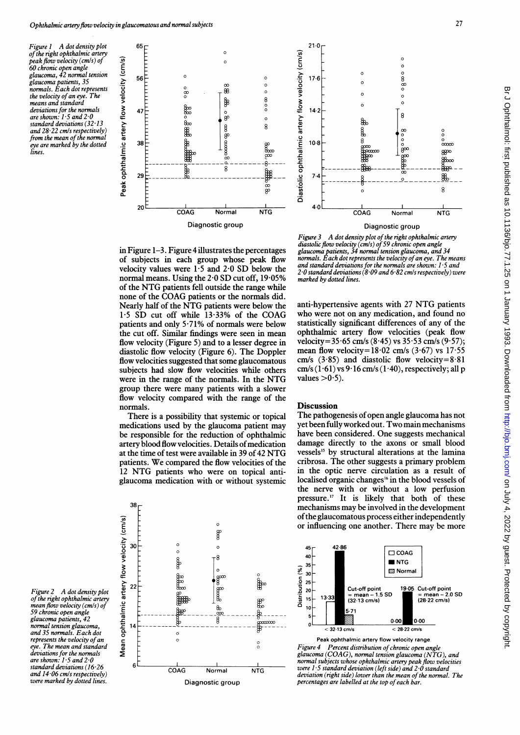ይ<br>><br>>

 $\overline{a}$ 

a-

Figure <sup>I</sup> A dot density plot of the right ophthalmic artery peak flow velocity (cm/s) of 60 chronic open angle glaucoma, 42 normal tension glaucoma patients, 35 normals. Each dot represents the velocity of an eye. The means and standard deviations for the normals are shown:  $1.5$  and  $2.0$ standard deviations (32.13 and 28-22 cmls respectively) from the mean of the normal eye are marked by the dotted lines.





Diagnostic group

Figure 3 A dot density plot of the right ophthalmic artery diastolic flow velocity (cm/s) of 59 chronic open angle coma patients, 34 normal tension glaucoma, and 34 als. Each dot represents the velocity ofan eye. The means and standard deviations for the normals are shown:  $1.5$  and 2.0 standard deviations ( $8.09$  and  $6.82$  cm/s respectively) were marked by dotted lines.

anti-hypertensive agents with 27 NTG patients who were not on any medication, and found no statistically significant differences of any of the ophthalmic artery flow velocities (peak flow velocity=35.65 cm/s (8.45) vs  $35.53$  cm/s (9.57); mean flow velocity=18.02 cm/s  $(3.67)$  vs 17.55 cm/s  $(3.85)$  and diastolic flow velocity=8.81 cm/s  $(1.61)$  vs  $9.16$  cm/s  $(1.40)$ , respectively; all p values  $>0.5$ ).

## Discussion

 $\degree$  or influencing one another. There may be more The pathogenesis of open angle glaucoma has not yet been fully worked out. Two main mechanisms have been considered. One suggests mechanical damage directly to the axons or small blood vessels<sup>15</sup> by structural alterations at the lamina cribrosa. The other suggests a primary problem in the optic nerve circulation as a result of localised organic changes<sup>16</sup> in the blood vessels of the nerve with or without a low perfusion pressure.<sup>17</sup> It is likely that both of these mechanisms may be involved in the development of the glaucomatous process either independently



Peak ophthalmic artery flow velocity range Figure 4 Percent distribution of chronic open angle glaucoma (COAG), normal tension glaucoma (NTG), and normal subjects whose ophthalmic artery peak flow velocities were 1-5 standard deviation (left side) and 2-0 standard deviation (right side) lower than the mean of the normal. The percentages are labelled at the top of each bar.

in Figure 1-3. Figure 4 illustrates the percentages of subjects in each group whose peak flow velocity values were 1-5 and 2-0 SD below the normal means. Using the 2-0 SD cut off, 19-05% of the NTG patients fell outside the range while none of the COAG patients or the normals did. Nearly half of the NTG patients were below the 1-5 SD cut off while 13-33% of the COAG patients and only 5-71% of normals were below the cut off. Similar findings were seen in mean flow velocity (Figure 5) and to a lesser degree in diastolic flow velocity (Figure 6). The Doppler flow velocities suggested that some glaucomatous subjects had slow flow velocities while others were in the range of the normals. In the NTG group there were many patients with a slower flow velocity compared with the range of the normals.

There is a possibility that systemic or topical medications used by the glaucoma patient may be responsible for the reduction of ophthalmic artery blood flow velocities. Details of medication at the time of test were available in <sup>39</sup> of <sup>42</sup> NTG patients. We compared the flow velocities of the <sup>12</sup> NTG patients who were on topical antiglaucoma medication with or without systemic

Figure <sup>2</sup> A dot density plot of the right ophthalmic artery<br>mean flow velocity (cm/s) of 59 chronic open angle glaucoma patients, 42 normal tension glaucoma, and 35 normals. Each dot represents the velocity of an eye. The mean and standard deviations for the normals are shown:  $1.5$  and  $2.0$ standard deviations (16-26 and 14.06 cm/s respectively) were marked by dotted lines.

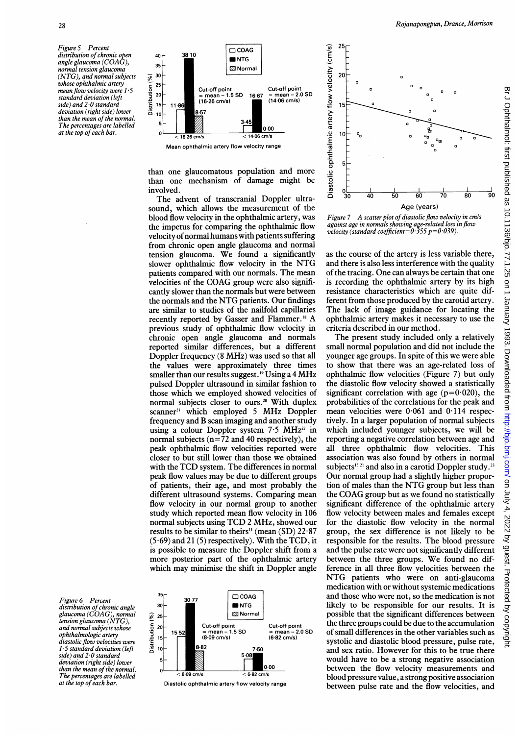Figure 5 Percent distribution of chronic open angle glaucoma ( $COA\hat{G}$ ), normal tension glaucoma  $(NTG)$ , and normal subjects whose ophthalmic artery mean flow velocity were  $1.5$ standard deviation (left side) and  $2 \cdot 0$  standard deviation (right side) lower than the mean of the normal. The percentages are labelled at the top of each bar.



than one glaucomatous population and more than one mechanism of damage might be involved.

The advent of transcranial Doppler ultrasound, which allows the measurement of the blood flow velocity in the ophthalmic artery, was the impetus for comparing the ophthalmic flow velocity of normal humans with patients suffering from chronic open angle glaucoma and normal tension glaucoma. We found <sup>a</sup> significantly slower ophthalmic flow velocity in the NTG patients compared with our normals. The mean velocities of the COAG group were also significantly slower than the normals but were between the normals and the NTG patients. Our findings are similar to studies of the nailfold capillaries recently reported by Gasser and Flammer.'8 A previous study of ophthalmic flow velocity in chronic open angle glaucoma and normals reported similar differences, but a different Doppler frequency (8 MHz) was used so that all the values were approximately three times smaller than our results suggest.<sup>19</sup> Using a 4 MHz pulsed Doppler ultrasound in similar fashion to those which we employed showed velocities of normal subjects closer to ours.<sup>20</sup> With duplex scanner<sup>21</sup> which employed  $5$  MHz Doppler frequency and B scan imaging and another study using a colour Doppler system  $7.5$  MHz<sup>22</sup> in normal subjects ( $n=72$  and 40 respectively), the peak ophthalmic flow velocities reported were closer to but still lower than those we obtained with the TCD system. The differences in normal peak flow values may be due to different groups of patients, their age, and most probably the different ultrasound systems. Comparing mean flow velocity in our normal group to another study which reported mean flow velocity in 106 normal subjects using TCD <sup>2</sup> MHz, showed our results to be similar to theirs<sup>11</sup> (mean  $(SD)$  22 $\cdot$ 87  $(5.69)$  and 21 (5) respectively). With the TCD, it is possible to measure the Doppler shift from a more posterior part of the ophthalmic artery which may minimise the shift in Doppler angle

Figure 6 Percent distribution of chronic angle glaucoma (COAG), normal tension glaucoma (NTG), and normal subjects whose ophthalmologic artery diastolic flow velocities were 1-5 standard deviation (left side) and 2-0 standard deviation (right side) lower than the mean of the normal. The percentages are labelled at the top of each bar.



Diastolic ophthalmic artery flow velocity range



25r

Figure  $7$  A scatter plot of diastolic flow velocity in cm/s against age in normals showing age-related loss inflow velocity (standard coefficient=0-355 p=0-039).

as the course of the artery is less variable there, and there is also less interference with the quality of the tracing. One can always be certain that one is recording the ophthalmic artery by its high resistance characteristics which are quite different from those produced by the carotid artery. The lack of image guidance for locating the ophthalmic artery makes it necessary to use the criteria described in our method.

The present study included only a relatively small normal population and did not include the younger age groups. In spite of this we were able to show that there was an age-related loss of ophthalmic flow velocities (Figure 7) but only the diastolic flow velocity showed a statistically significant correlation with age  $(p=0.020)$ , the probabilities of the correlations for the peak and mean velocities were 0-061 and 0-114 respectively. In a larger population of normal subjects which included younger subjects, we will be reporting a negative correlation between age and all three ophthalmic flow velocities. This association was also found by others in normal subjects<sup>15.21</sup> and also in a carotid Doppler study.<sup>23</sup> Our normal group had a slightly higher proportion of males than the NTG group but less than the COAG group but as we found no statistically significant difference of the ophthalmic artery flow velocity between males and females except for the diastolic flow velocity in the normal group, the sex difference is not likely to be responsible for the results. The blood pressure and the pulse rate were not significantly different between the three groups. We found no difference in all three flow velocities between the NTG patients who were on anti-glaucoma medication with or without systemic medications and those who were not, so the medication is not likely to be responsible for our results. It is possible that the significant differences between the three groups could be due to the accumulation of small differences in the other variables such as systolic and diastolic blood pressure, pulse rate, and sex ratio. However for this to be true there would have to be a strong negative association between the flow velocity measurements and blood pressure value, a strong positive association between pulse rate and the flow velocities, and